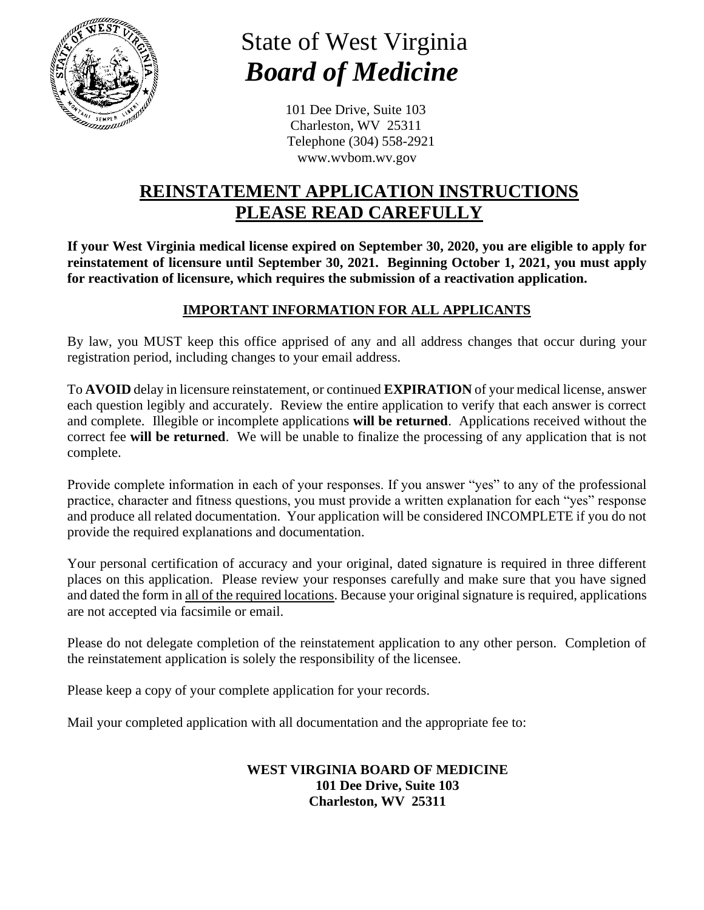

# State of West Virginia  *Board of Medicine*

101 Dee Drive, Suite 103 Charleston, WV 25311 Telephone (304) 558-2921 [www.wvbom.wv.gov](http://www.wvbom.wv.gov/)

### **REINSTATEMENT APPLICATION INSTRUCTIONS PLEASE READ CAREFULLY**

**If your West Virginia medical license expired on September 30, 2020, you are eligible to apply for reinstatement of licensure until September 30, 2021. Beginning October 1, 2021, you must apply for reactivation of licensure, which requires the submission of a reactivation application.** 

#### **IMPORTANT INFORMATION FOR ALL APPLICANTS**

By law, you MUST keep this office apprised of any and all address changes that occur during your registration period, including changes to your email address.

To **AVOID** delay in licensure reinstatement, or continued **EXPIRATION** of your medical license, answer each question legibly and accurately. Review the entire application to verify that each answer is correct and complete. Illegible or incomplete applications **will be returned**. Applications received without the correct fee **will be returned**. We will be unable to finalize the processing of any application that is not complete.

Provide complete information in each of your responses. If you answer "yes" to any of the professional practice, character and fitness questions, you must provide a written explanation for each "yes" response and produce all related documentation. Your application will be considered INCOMPLETE if you do not provide the required explanations and documentation.

Your personal certification of accuracy and your original, dated signature is required in three different places on this application. Please review your responses carefully and make sure that you have signed and dated the form in all of the required locations. Because your original signature is required, applications are not accepted via facsimile or email.

Please do not delegate completion of the reinstatement application to any other person. Completion of the reinstatement application is solely the responsibility of the licensee.

Please keep a copy of your complete application for your records.

Mail your completed application with all documentation and the appropriate fee to:

#### **WEST VIRGINIA BOARD OF MEDICINE 101 Dee Drive, Suite 103 Charleston, WV 25311**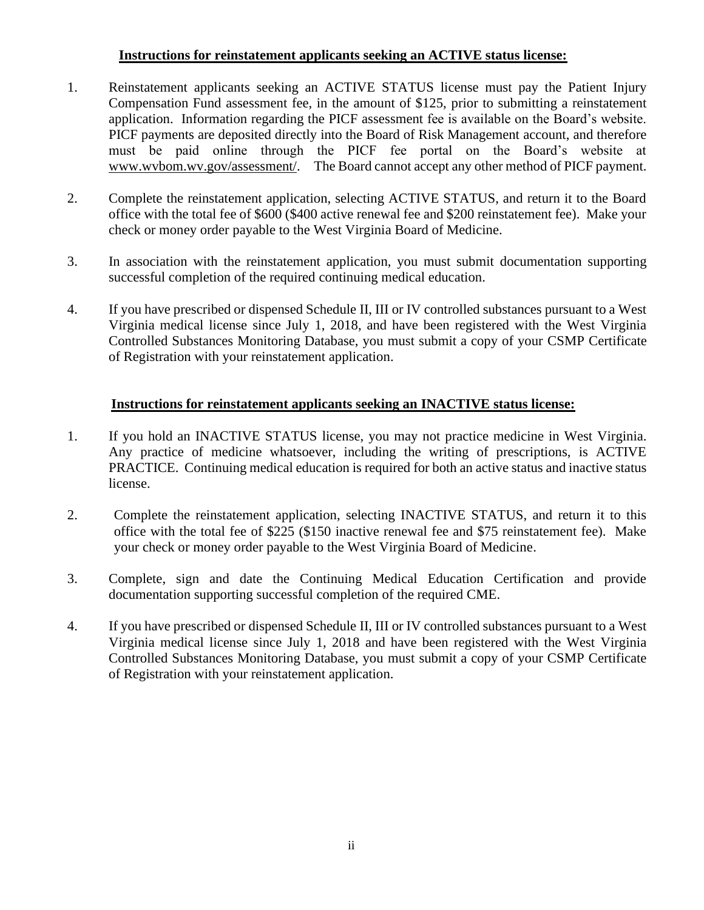#### **Instructions for reinstatement applicants seeking an ACTIVE status license:**

- 1. Reinstatement applicants seeking an ACTIVE STATUS license must pay the Patient Injury Compensation Fund assessment fee, in the amount of \$125, prior to submitting a reinstatement application. Information regarding the PICF assessment fee is available on the Board's website. PICF payments are deposited directly into the Board of Risk Management account, and therefore must be paid online through the PICF fee portal on the Board's website at [www.wvbom.wv.gov/assessment/.](http://www.wvbom.wv.gov/assessment/) The Board cannot accept any other method of PICF payment.
- 2. Complete the reinstatement application, selecting ACTIVE STATUS, and return it to the Board office with the total fee of \$600 (\$400 active renewal fee and \$200 reinstatement fee). Make your check or money order payable to the West Virginia Board of Medicine.
- 3. In association with the reinstatement application, you must submit documentation supporting successful completion of the required continuing medical education.
- 4. If you have prescribed or dispensed Schedule II, III or IV controlled substances pursuant to a West Virginia medical license since July 1, 2018, and have been registered with the West Virginia Controlled Substances Monitoring Database, you must submit a copy of your CSMP Certificate of Registration with your reinstatement application.

#### **Instructions for reinstatement applicants seeking an INACTIVE status license:**

- 1. If you hold an INACTIVE STATUS license, you may not practice medicine in West Virginia. Any practice of medicine whatsoever, including the writing of prescriptions, is ACTIVE PRACTICE. Continuing medical education is required for both an active status and inactive status license.
- 2. Complete the reinstatement application, selecting INACTIVE STATUS, and return it to this office with the total fee of \$225 (\$150 inactive renewal fee and \$75 reinstatement fee). Make your check or money order payable to the West Virginia Board of Medicine.
- 3. Complete, sign and date the Continuing Medical Education Certification and provide documentation supporting successful completion of the required CME.
- 4. If you have prescribed or dispensed Schedule II, III or IV controlled substances pursuant to a West Virginia medical license since July 1, 2018 and have been registered with the West Virginia Controlled Substances Monitoring Database, you must submit a copy of your CSMP Certificate of Registration with your reinstatement application.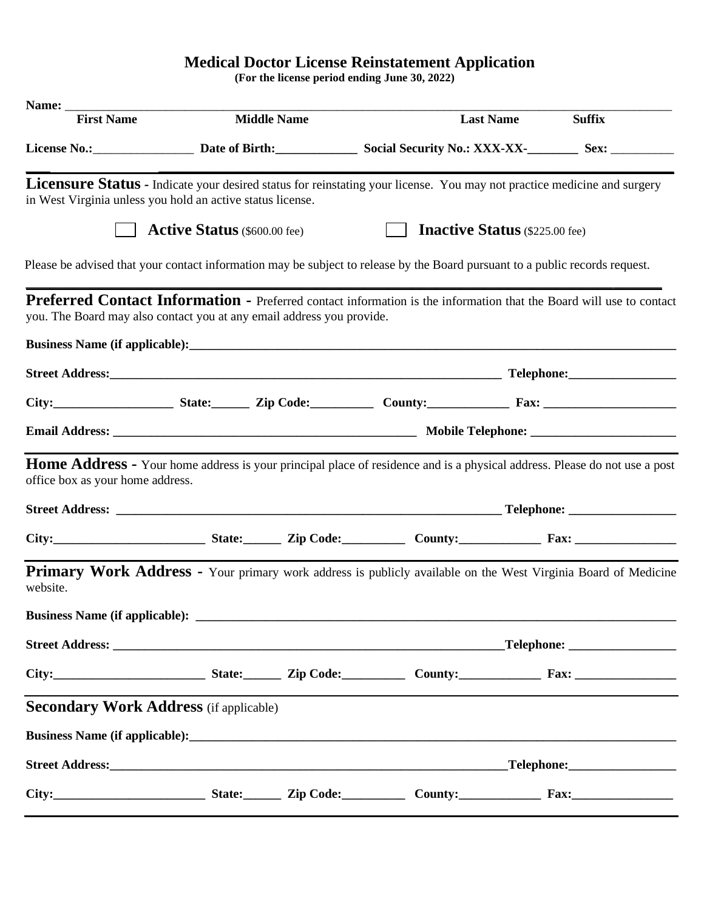#### **Medical Doctor License Reinstatement Application**

**(For the license period ending June 30, 2022)**

| Name: ___                                                                                                                                                                                           |                                     |                    |                                       |                  |                          |
|-----------------------------------------------------------------------------------------------------------------------------------------------------------------------------------------------------|-------------------------------------|--------------------|---------------------------------------|------------------|--------------------------|
| <b>First Name</b>                                                                                                                                                                                   |                                     | <b>Middle Name</b> |                                       | <b>Last Name</b> | <b>Suffix</b>            |
| License No.: Sex: Date of Birth: Social Security No.: XXX-XX-<br>Sex: Sex: Sex: No.: Sex: Sex: No.: XXX-XX-                                                                                         |                                     |                    |                                       |                  |                          |
| Licensure Status - Indicate your desired status for reinstating your license. You may not practice medicine and surgery<br>in West Virginia unless you hold an active status license.               |                                     |                    |                                       |                  |                          |
|                                                                                                                                                                                                     | <b>Active Status</b> (\$600.00 fee) |                    | <b>Inactive Status</b> (\$225.00 fee) |                  |                          |
| Please be advised that your contact information may be subject to release by the Board pursuant to a public records request.                                                                        |                                     |                    |                                       |                  |                          |
| <b>Preferred Contact Information -</b> Preferred contact information is the information that the Board will use to contact<br>you. The Board may also contact you at any email address you provide. |                                     |                    |                                       |                  |                          |
|                                                                                                                                                                                                     |                                     |                    |                                       |                  |                          |
|                                                                                                                                                                                                     |                                     |                    |                                       |                  |                          |
| City: $\frac{1}{\sqrt{2}}$ State: $\frac{1}{\sqrt{2}}$ Zip Code: $\frac{1}{\sqrt{2}}$ County: $\frac{1}{\sqrt{2}}$ Fax:                                                                             |                                     |                    |                                       |                  |                          |
|                                                                                                                                                                                                     |                                     |                    |                                       |                  |                          |
| <b>Home Address</b> - Your home address is your principal place of residence and is a physical address. Please do not use a post<br>office box as your home address.                                |                                     |                    |                                       |                  |                          |
|                                                                                                                                                                                                     |                                     |                    |                                       |                  |                          |
|                                                                                                                                                                                                     |                                     |                    |                                       |                  |                          |
| <b>Primary Work Address -</b> Your primary work address is publicly available on the West Virginia Board of Medicine<br>website.                                                                    |                                     |                    |                                       |                  |                          |
|                                                                                                                                                                                                     |                                     |                    |                                       |                  |                          |
|                                                                                                                                                                                                     | Telephone: ___________________      |                    |                                       |                  |                          |
|                                                                                                                                                                                                     |                                     |                    |                                       |                  |                          |
| <b>Secondary Work Address</b> (if applicable)                                                                                                                                                       |                                     |                    |                                       |                  |                          |
|                                                                                                                                                                                                     |                                     |                    |                                       |                  |                          |
|                                                                                                                                                                                                     |                                     |                    |                                       |                  | $\Box$ Telephone: $\Box$ |
|                                                                                                                                                                                                     |                                     |                    |                                       |                  |                          |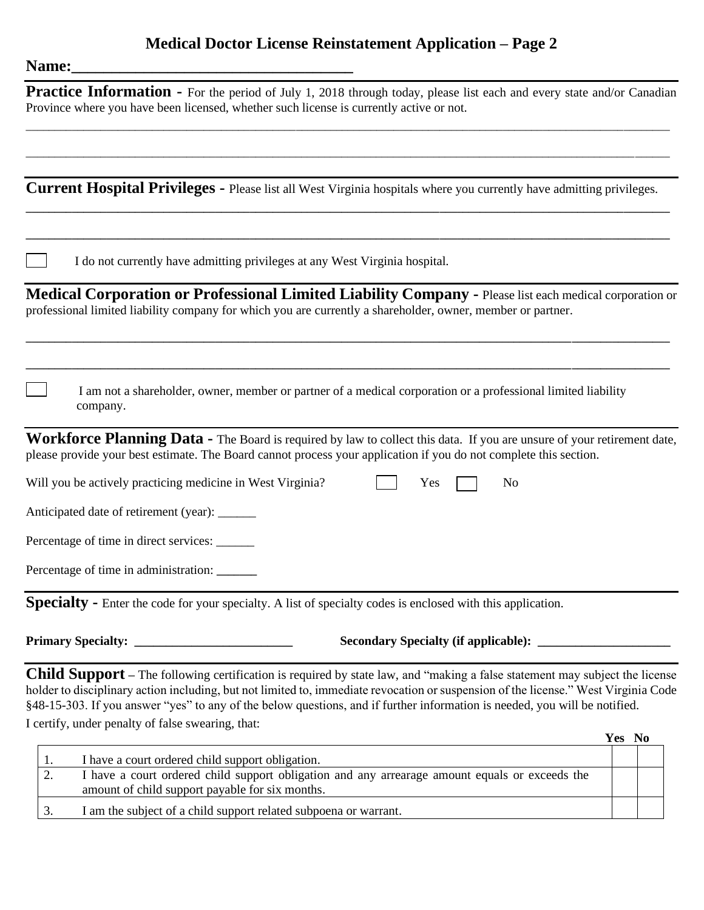## **Medical Doctor License Reinstatement Application – Page 2**

| <b>Name:</b> |
|--------------|
|              |

| Name:                                                                                                                                                                           |                                                                                                                                                                                                                                                                                     |
|---------------------------------------------------------------------------------------------------------------------------------------------------------------------------------|-------------------------------------------------------------------------------------------------------------------------------------------------------------------------------------------------------------------------------------------------------------------------------------|
| Province where you have been licensed, whether such license is currently active or not.                                                                                         | Practice Information - For the period of July 1, 2018 through today, please list each and every state and/or Canadian                                                                                                                                                               |
|                                                                                                                                                                                 |                                                                                                                                                                                                                                                                                     |
|                                                                                                                                                                                 | Current Hospital Privileges - Please list all West Virginia hospitals where you currently have admitting privileges.                                                                                                                                                                |
| I do not currently have admitting privileges at any West Virginia hospital.                                                                                                     |                                                                                                                                                                                                                                                                                     |
| professional limited liability company for which you are currently a shareholder, owner, member or partner.                                                                     | Medical Corporation or Professional Limited Liability Company - Please list each medical corporation or                                                                                                                                                                             |
| company.                                                                                                                                                                        | I am not a shareholder, owner, member or partner of a medical corporation or a professional limited liability                                                                                                                                                                       |
| please provide your best estimate. The Board cannot process your application if you do not complete this section.                                                               | Workforce Planning Data - The Board is required by law to collect this data. If you are unsure of your retirement date,                                                                                                                                                             |
| Will you be actively practicing medicine in West Virginia?                                                                                                                      | Yes<br>No                                                                                                                                                                                                                                                                           |
| Anticipated date of retirement (year): ______                                                                                                                                   |                                                                                                                                                                                                                                                                                     |
| Percentage of time in direct services: ______                                                                                                                                   |                                                                                                                                                                                                                                                                                     |
| Percentage of time in administration:                                                                                                                                           |                                                                                                                                                                                                                                                                                     |
| Specialty - Enter the code for your specialty. A list of specialty codes is enclosed with this application.                                                                     |                                                                                                                                                                                                                                                                                     |
|                                                                                                                                                                                 |                                                                                                                                                                                                                                                                                     |
| §48-15-303. If you answer "yes" to any of the below questions, and if further information is needed, you will be notified.<br>I certify, under penalty of false swearing, that: | <b>Child Support</b> – The following certification is required by state law, and "making a false statement may subject the license<br>holder to disciplinary action including, but not limited to, immediate revocation or suspension of the license." West Virginia Code<br>Yes No |
| I have a court ordered child support obligation                                                                                                                                 |                                                                                                                                                                                                                                                                                     |

|     | I have a court ordered child support obligation.                                                                                                  |  |
|-----|---------------------------------------------------------------------------------------------------------------------------------------------------|--|
| ـ ت | I have a court ordered child support obligation and any arrearage amount equals or exceeds the<br>amount of child support payable for six months. |  |
|     | I am the subject of a child support related subpoena or warrant.                                                                                  |  |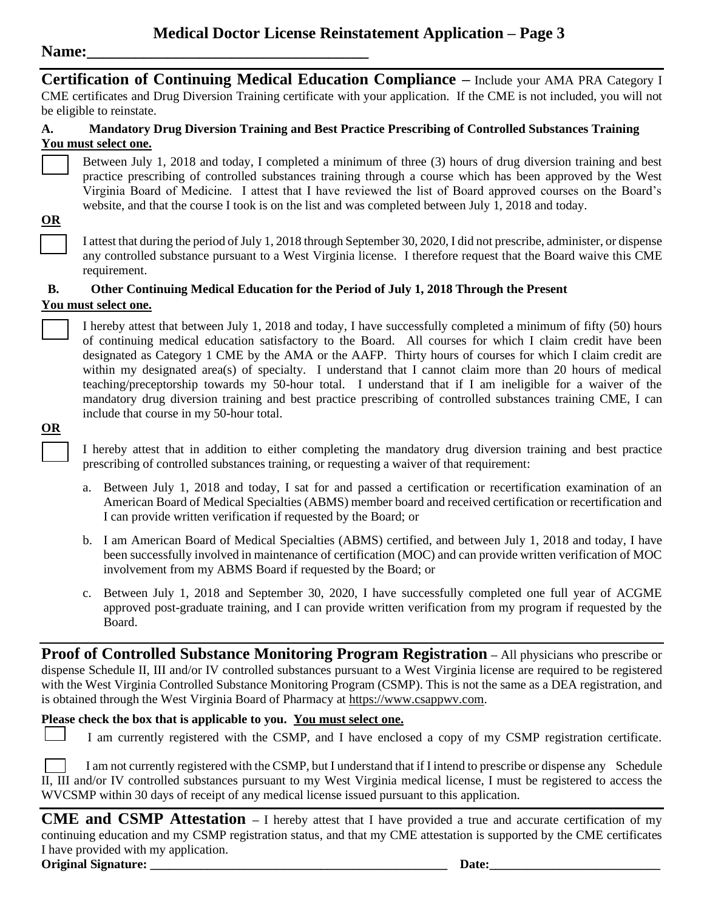#### Name:

**Certification of Continuing Medical Education Compliance –** Include your AMA PRA Category I CME certificates and Drug Diversion Training certificate with your application. If the CME is not included, you will not be eligible to reinstate.

#### **A. Mandatory Drug Diversion Training and Best Practice Prescribing of Controlled Substances Training You must select one.**

Between July 1, 2018 and today, I completed a minimum of three (3) hours of drug diversion training and best practice prescribing of controlled substances training through a course which has been approved by the West Virginia Board of Medicine. I attest that I have reviewed the list of Board approved courses on the Board's website, and that the course I took is on the list and was completed between July 1, 2018 and today.

#### **OR**

I attest that during the period of July 1, 2018 through September 30, 2020, I did not prescribe, administer, or dispense any controlled substance pursuant to a West Virginia license. I therefore request that the Board waive this CME requirement.

#### **B. Other Continuing Medical Education for the Period of July 1, 2018 Through the Present**

#### **You must select one.**

I hereby attest that between July 1, 2018 and today, I have successfully completed a minimum of fifty (50) hours of continuing medical education satisfactory to the Board. All courses for which I claim credit have been designated as Category 1 CME by the AMA or the AAFP. Thirty hours of courses for which I claim credit are within my designated area(s) of specialty. I understand that I cannot claim more than 20 hours of medical teaching/preceptorship towards my 50-hour total. I understand that if I am ineligible for a waiver of the mandatory drug diversion training and best practice prescribing of controlled substances training CME, I can include that course in my 50-hour total.

#### **OR**

I hereby attest that in addition to either completing the mandatory drug diversion training and best practice prescribing of controlled substances training, or requesting a waiver of that requirement:

- a. Between July 1, 2018 and today, I sat for and passed a certification or recertification examination of an American Board of Medical Specialties (ABMS) member board and received certification or recertification and I can provide written verification if requested by the Board; or
- b. I am American Board of Medical Specialties (ABMS) certified, and between July 1, 2018 and today, I have been successfully involved in maintenance of certification (MOC) and can provide written verification of MOC involvement from my ABMS Board if requested by the Board; or
- c. Between July 1, 2018 and September 30, 2020, I have successfully completed one full year of ACGME approved post-graduate training, and I can provide written verification from my program if requested by the Board.

**Proof of Controlled Substance Monitoring Program Registration – All physicians who prescribe or** dispense Schedule II, III and/or IV controlled substances pursuant to a West Virginia license are required to be registered with the West Virginia Controlled Substance Monitoring Program (CSMP). This is not the same as a DEA registration, and is obtained through the West Virginia Board of Pharmacy at [https://www.csappwv.com.](https://www.csapp.wv.gov/)

#### **Please check the box that is applicable to you. You must select one.**

I am currently registered with the CSMP, and I have enclosed a copy of my CSMP registration certificate.

I am not currently registered with the CSMP, but I understand that if I intend to prescribe or dispense any Schedule II, III and/or IV controlled substances pursuant to my West Virginia medical license, I must be registered to access the WVCSMP within 30 days of receipt of any medical license issued pursuant to this application.

**CME and CSMP Attestation –** I hereby attest that I have provided a true and accurate certification of my continuing education and my CSMP registration status, and that my CME attestation is supported by the CME certificates I have provided with my application. **Original Signature: \_\_\_\_\_\_\_\_\_\_\_\_\_\_\_\_\_\_\_\_\_\_\_\_\_\_\_\_\_\_\_\_\_\_\_\_\_\_\_\_\_\_\_\_\_\_\_ Date:\_\_\_\_\_\_\_\_\_\_\_\_\_\_\_\_\_\_\_\_\_\_\_\_\_\_\_**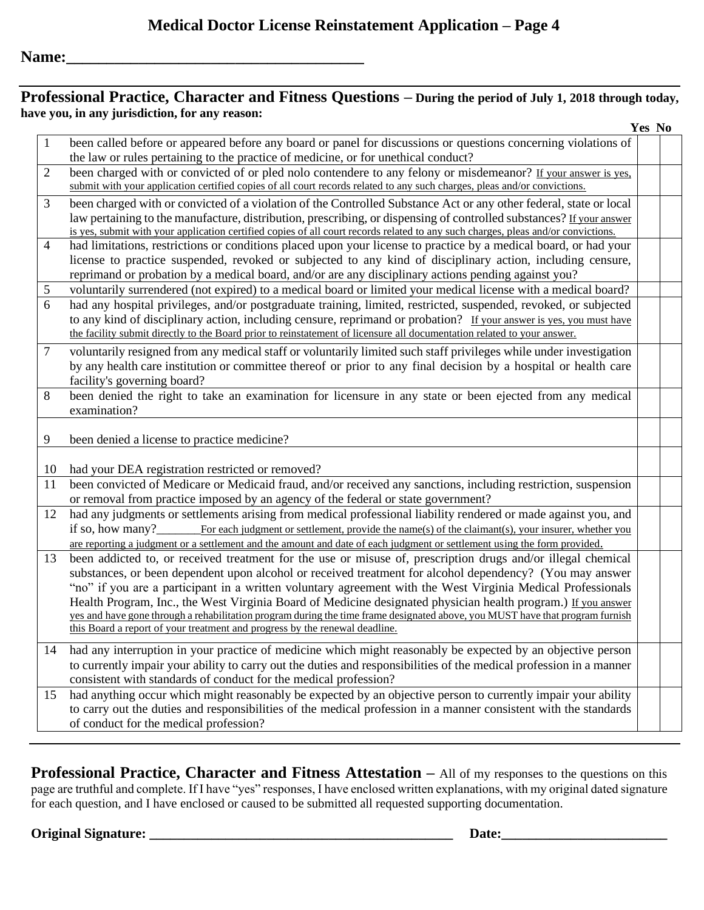#### **Professional Practice, Character and Fitness Questions – During the period of July 1, 2018 through today, have you, in any jurisdiction, for any reason:**

|                |                                                                                                                                   | Yes No |
|----------------|-----------------------------------------------------------------------------------------------------------------------------------|--------|
| -1             | been called before or appeared before any board or panel for discussions or questions concerning violations of                    |        |
|                | the law or rules pertaining to the practice of medicine, or for unethical conduct?                                                |        |
| $\overline{2}$ | been charged with or convicted of or pled not contendere to any felony or misdemeanor? If your answer is yes,                     |        |
|                | submit with your application certified copies of all court records related to any such charges, pleas and/or convictions.         |        |
| 3              | been charged with or convicted of a violation of the Controlled Substance Act or any other federal, state or local                |        |
|                | law pertaining to the manufacture, distribution, prescribing, or dispensing of controlled substances? If your answer              |        |
|                | is yes, submit with your application certified copies of all court records related to any such charges, pleas and/or convictions. |        |
| $\overline{4}$ | had limitations, restrictions or conditions placed upon your license to practice by a medical board, or had your                  |        |
|                | license to practice suspended, revoked or subjected to any kind of disciplinary action, including censure,                        |        |
|                | reprimand or probation by a medical board, and/or are any disciplinary actions pending against you?                               |        |
| 5              | voluntarily surrendered (not expired) to a medical board or limited your medical license with a medical board?                    |        |
| 6              | had any hospital privileges, and/or postgraduate training, limited, restricted, suspended, revoked, or subjected                  |        |
|                | to any kind of disciplinary action, including censure, reprimand or probation? If your answer is yes, you must have               |        |
|                | the facility submit directly to the Board prior to reinstatement of licensure all documentation related to your answer.           |        |
| $\overline{7}$ | voluntarily resigned from any medical staff or voluntarily limited such staff privileges while under investigation                |        |
|                | by any health care institution or committee thereof or prior to any final decision by a hospital or health care                   |        |
|                | facility's governing board?                                                                                                       |        |
| 8              | been denied the right to take an examination for licensure in any state or been ejected from any medical                          |        |
|                | examination?                                                                                                                      |        |
|                |                                                                                                                                   |        |
| 9              | been denied a license to practice medicine?                                                                                       |        |
|                |                                                                                                                                   |        |
| 10             | had your DEA registration restricted or removed?                                                                                  |        |
| 11             | been convicted of Medicare or Medicaid fraud, and/or received any sanctions, including restriction, suspension                    |        |
|                | or removal from practice imposed by an agency of the federal or state government?                                                 |        |
| 12             | had any judgments or settlements arising from medical professional liability rendered or made against you, and                    |        |
|                | For each judgment or settlement, provide the name(s) of the claimant(s), your insurer, whether you<br>if so, how many?            |        |
|                | are reporting a judgment or a settlement and the amount and date of each judgment or settlement using the form provided.          |        |
| 13             | been addicted to, or received treatment for the use or misuse of, prescription drugs and/or illegal chemical                      |        |
|                | substances, or been dependent upon alcohol or received treatment for alcohol dependency? (You may answer                          |        |
|                | "no" if you are a participant in a written voluntary agreement with the West Virginia Medical Professionals                       |        |
|                | Health Program, Inc., the West Virginia Board of Medicine designated physician health program.) If you answer                     |        |
|                | yes and have gone through a rehabilitation program during the time frame designated above, you MUST have that program furnish     |        |
|                | this Board a report of your treatment and progress by the renewal deadline.                                                       |        |
| 14             | had any interruption in your practice of medicine which might reasonably be expected by an objective person                       |        |
|                | to currently impair your ability to carry out the duties and responsibilities of the medical profession in a manner               |        |
|                | consistent with standards of conduct for the medical profession?                                                                  |        |
| 15             | had anything occur which might reasonably be expected by an objective person to currently impair your ability                     |        |
|                | to carry out the duties and responsibilities of the medical profession in a manner consistent with the standards                  |        |
|                | of conduct for the medical profession?                                                                                            |        |
|                |                                                                                                                                   |        |

**Professional Practice, Character and Fitness Attestation –** All of my responses to the questions on this page are truthful and complete. If I have "yes" responses, I have enclosed written explanations, with my original dated signature for each question, and I have enclosed or caused to be submitted all requested supporting documentation.

#### **Original Signature: \_\_\_\_\_\_\_\_\_\_\_\_\_\_\_\_\_\_\_\_\_\_\_\_\_\_\_\_\_\_\_\_\_\_\_\_\_\_\_\_\_\_\_\_ Date:\_\_\_\_\_\_\_\_\_\_\_\_\_\_\_\_\_\_\_\_\_\_\_\_**